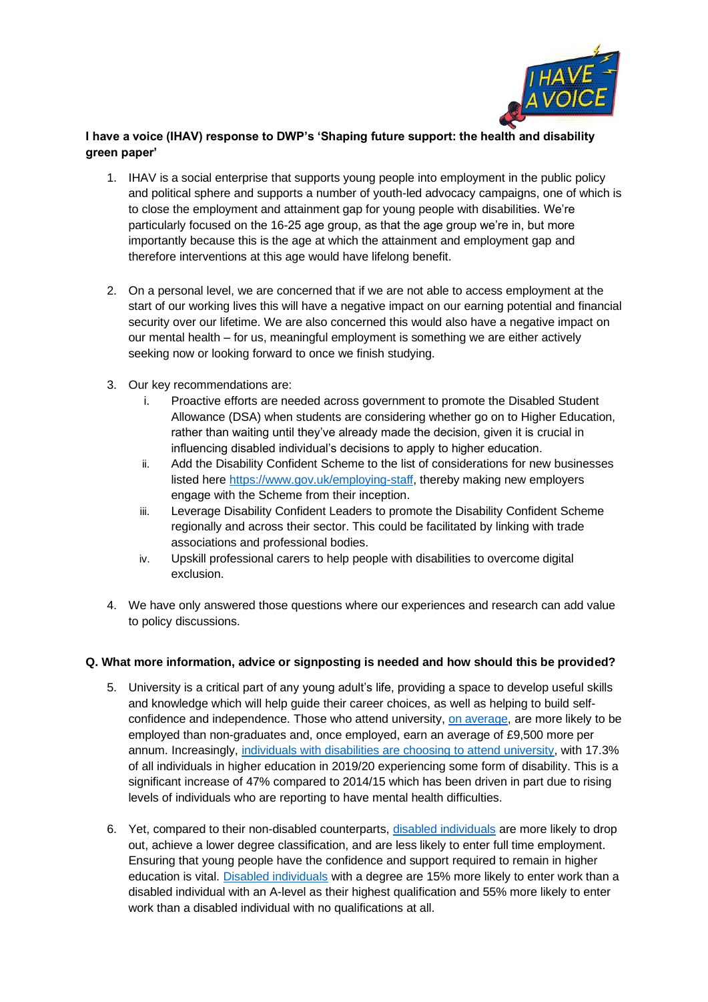

# **I have a voice (IHAV) response to DWP's 'Shaping future support: the health and disability green paper'**

- 1. IHAV is a social enterprise that supports young people into employment in the public policy and political sphere and supports a number of youth-led advocacy campaigns, one of which is to close the employment and attainment gap for young people with disabilities. We're particularly focused on the 16-25 age group, as that the age group we're in, but more importantly because this is the age at which the attainment and employment gap and therefore interventions at this age would have lifelong benefit.
- 2. On a personal level, we are concerned that if we are not able to access employment at the start of our working lives this will have a negative impact on our earning potential and financial security over our lifetime. We are also concerned this would also have a negative impact on our mental health – for us, meaningful employment is something we are either actively seeking now or looking forward to once we finish studying.
- 3. Our key recommendations are:
	- i. Proactive efforts are needed across government to promote the Disabled Student Allowance (DSA) when students are considering whether go on to Higher Education, rather than waiting until they've already made the decision, given it is crucial in influencing disabled individual's decisions to apply to higher education.
	- ii. Add the Disability Confident Scheme to the list of considerations for new businesses listed here [https://www.gov.uk/employing-staff,](https://www.gov.uk/employing-staff) thereby making new employers engage with the Scheme from their inception.
	- iii. Leverage Disability Confident Leaders to promote the Disability Confident Scheme regionally and across their sector. This could be facilitated by linking with trade associations and professional bodies.
	- iv. Upskill professional carers to help people with disabilities to overcome digital exclusion.
- 4. We have only answered those questions where our experiences and research can add value to policy discussions.

## **Q. What more information, advice or signposting is needed and how should this be provided?**

- 5. University is a critical part of any young adult's life, providing a space to develop useful skills and knowledge which will help guide their career choices, as well as helping to build selfconfidence and independence. Those who attend university, [on average,](https://explore-education-statistics.service.gov.uk/find-statistics/graduate-labour-markets/2020) are more likely to be employed than non-graduates and, once employed, earn an average of £9,500 more per annum. Increasingly, [individuals with disabilities are choosing to attend university,](https://commonslibrary.parliament.uk/research-briefings/cbp-8716/) with 17.3% of all individuals in higher education in 2019/20 experiencing some form of disability. This is a significant increase of 47% compared to 2014/15 which has been driven in part due to rising levels of individuals who are reporting to have mental health difficulties.
- 6. Yet, compared to their non-disabled counterparts, [disabled individuals](https://commonslibrary.parliament.uk/research-briefings/cbp-8716/) are more likely to drop out, achieve a lower degree classification, and are less likely to enter full time employment. Ensuring that young people have the confidence and support required to remain in higher education is vital. [Disabled individuals](https://www.officeforstudents.org.uk/publications/beyond-the-bare-minimum-are-universities-and-colleges-doing-enough-for-disabled-students/) with a degree are 15% more likely to enter work than a disabled individual with an A-level as their highest qualification and 55% more likely to enter work than a disabled individual with no qualifications at all.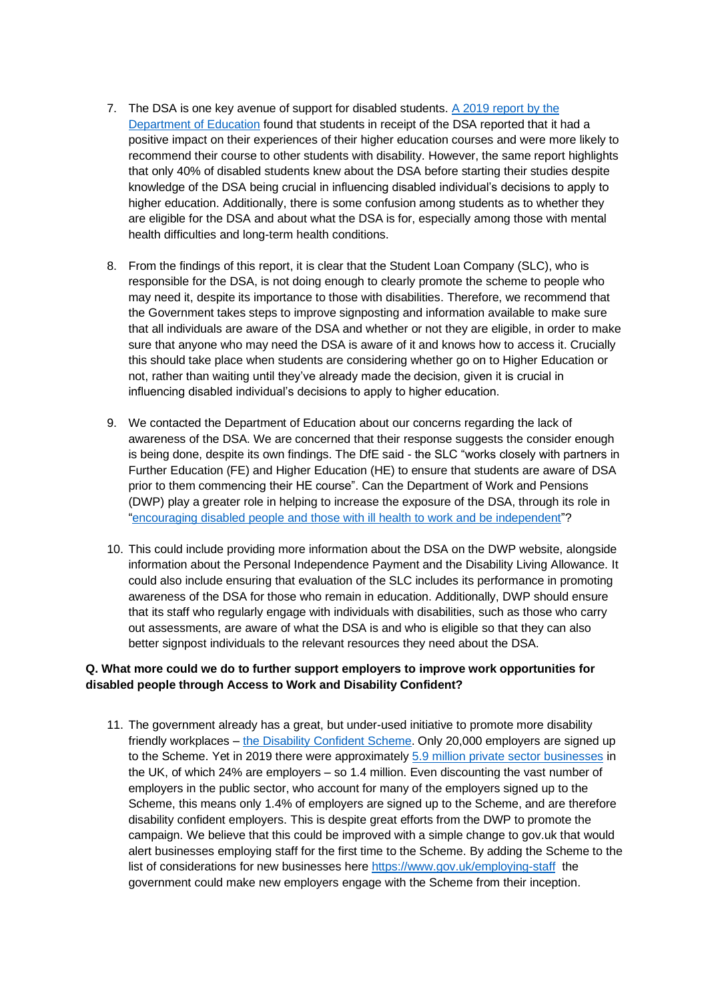- 7. The DSA is one key avenue of support for disabled students. [A 2019 report by the](https://www.gov.uk/government/publications/evaluation-of-disabled-students-allowances-dsas)  [Department of Education](https://www.gov.uk/government/publications/evaluation-of-disabled-students-allowances-dsas) found that students in receipt of the DSA reported that it had a positive impact on their experiences of their higher education courses and were more likely to recommend their course to other students with disability. However, the same report highlights that only 40% of disabled students knew about the DSA before starting their studies despite knowledge of the DSA being crucial in influencing disabled individual's decisions to apply to higher education. Additionally, there is some confusion among students as to whether they are eligible for the DSA and about what the DSA is for, especially among those with mental health difficulties and long-term health conditions.
- 8. From the findings of this report, it is clear that the Student Loan Company (SLC), who is responsible for the DSA, is not doing enough to clearly promote the scheme to people who may need it, despite its importance to those with disabilities. Therefore, we recommend that the Government takes steps to improve signposting and information available to make sure that all individuals are aware of the DSA and whether or not they are eligible, in order to make sure that anyone who may need the DSA is aware of it and knows how to access it. Crucially this should take place when students are considering whether go on to Higher Education or not, rather than waiting until they've already made the decision, given it is crucial in influencing disabled individual's decisions to apply to higher education.
- 9. We contacted the Department of Education about our concerns regarding the lack of awareness of the DSA. We are concerned that their response suggests the consider enough is being done, despite its own findings. The DfE said - the SLC "works closely with partners in Further Education (FE) and Higher Education (HE) to ensure that students are aware of DSA prior to them commencing their HE course". Can the Department of Work and Pensions (DWP) play a greater role in helping to increase the exposure of the DSA, through its role in ["encouraging disabled people and those with ill health to work and be independent"](https://www.gov.uk/government/organisations/department-for-work-pensions/about)?
- 10. This could include providing more information about the DSA on the DWP website, alongside information about the Personal Independence Payment and the Disability Living Allowance. It could also include ensuring that evaluation of the SLC includes its performance in promoting awareness of the DSA for those who remain in education. Additionally, DWP should ensure that its staff who regularly engage with individuals with disabilities, such as those who carry out assessments, are aware of what the DSA is and who is eligible so that they can also better signpost individuals to the relevant resources they need about the DSA.

## **Q. What more could we do to further support employers to improve work opportunities for disabled people through Access to Work and Disability Confident?**

11. The government already has a great, but under-used initiative to promote more disability friendly workplaces – [the Disability Confident Scheme.](https://disabilityconfident.campaign.gov.uk/) Only 20,000 employers are signed up to the Scheme. Yet in 2019 there were approximately [5.9 million private sector businesses](https://committees.parliament.uk/writtenevidence/19233/html/#_ftn2) in the UK, of which 24% are employers – so 1.4 million. Even discounting the vast number of employers in the public sector, who account for many of the employers signed up to the Scheme, this means only 1.4% of employers are signed up to the Scheme, and are therefore disability confident employers. This is despite great efforts from the DWP to promote the campaign. We believe that this could be improved with a simple change to gov.uk that would alert businesses employing staff for the first time to the Scheme. By adding the Scheme to the list of considerations for new businesses here <https://www.gov.uk/employing-staff>the government could make new employers engage with the Scheme from their inception.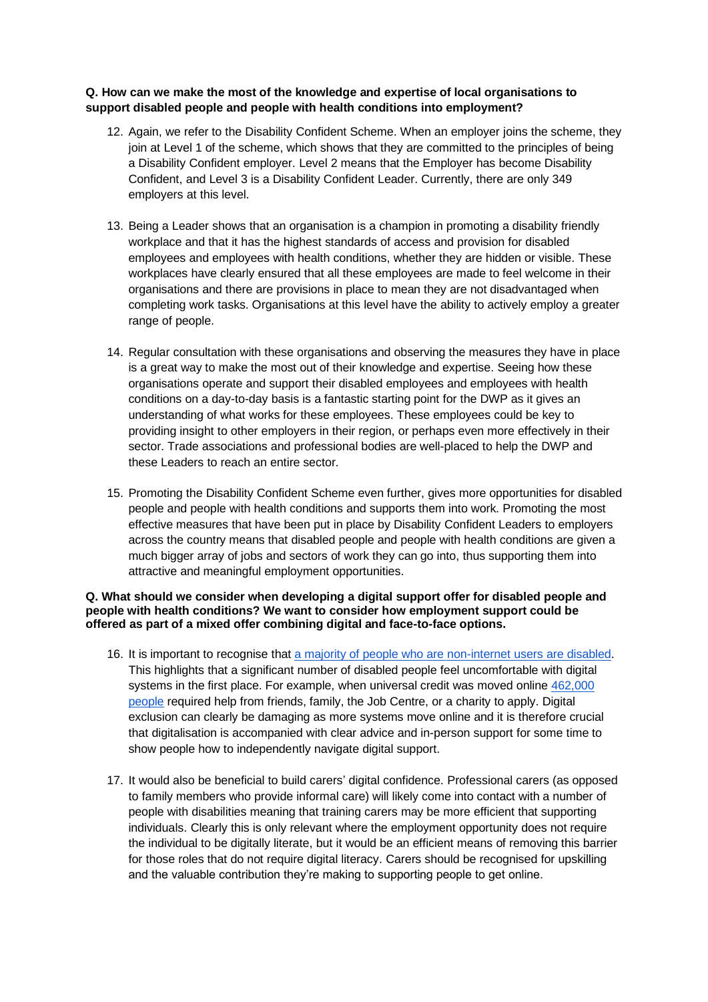#### **Q. How can we make the most of the knowledge and expertise of local organisations to support disabled people and people with health conditions into employment?**

- 12. Again, we refer to the Disability Confident Scheme. When an employer joins the scheme, they join at Level 1 of the scheme, which shows that they are committed to the principles of being a Disability Confident employer. Level 2 means that the Employer has become Disability Confident, and Level 3 is a Disability Confident Leader. Currently, there are only 349 employers at this level.
- 13. Being a Leader shows that an organisation is a champion in promoting a disability friendly workplace and that it has the highest standards of access and provision for disabled employees and employees with health conditions, whether they are hidden or visible. These workplaces have clearly ensured that all these employees are made to feel welcome in their organisations and there are provisions in place to mean they are not disadvantaged when completing work tasks. Organisations at this level have the ability to actively employ a greater range of people.
- 14. Regular consultation with these organisations and observing the measures they have in place is a great way to make the most out of their knowledge and expertise. Seeing how these organisations operate and support their disabled employees and employees with health conditions on a day-to-day basis is a fantastic starting point for the DWP as it gives an understanding of what works for these employees. These employees could be key to providing insight to other employers in their region, or perhaps even more effectively in their sector. Trade associations and professional bodies are well-placed to help the DWP and these Leaders to reach an entire sector.
- 15. Promoting the Disability Confident Scheme even further, gives more opportunities for disabled people and people with health conditions and supports them into work. Promoting the most effective measures that have been put in place by Disability Confident Leaders to employers across the country means that disabled people and people with health conditions are given a much bigger array of jobs and sectors of work they can go into, thus supporting them into attractive and meaningful employment opportunities.

#### **Q. What should we consider when developing a digital support offer for disabled people and people with health conditions? We want to consider how employment support could be offered as part of a mixed offer combining digital and face-to-face options.**

- 16. It is important to recognise that [a majority of people who are non-internet users are disabled.](https://www.ons.gov.uk/peoplepopulationandcommunity/householdcharacteristics/homeinternetandsocialmediausage/articles/exploringtheuksdigitaldivide/2019-03-04#what-is-the-pattern-of-internet-usage-among-disabled-people) This highlights that a significant number of disabled people feel uncomfortable with digital systems in the first place. For example, when universal credit was moved online [462,000](https://www.huffingtonpost.co.uk/entry/universal-credit-online-only-help-apply_uk_5c617f69e4b0eec79b262a34)  [people](https://www.huffingtonpost.co.uk/entry/universal-credit-online-only-help-apply_uk_5c617f69e4b0eec79b262a34) required help from friends, family, the Job Centre, or a charity to apply. Digital exclusion can clearly be damaging as more systems move online and it is therefore crucial that digitalisation is accompanied with clear advice and in-person support for some time to show people how to independently navigate digital support.
- 17. It would also be beneficial to build carers' digital confidence. Professional carers (as opposed to family members who provide informal care) will likely come into contact with a number of people with disabilities meaning that training carers may be more efficient that supporting individuals. Clearly this is only relevant where the employment opportunity does not require the individual to be digitally literate, but it would be an efficient means of removing this barrier for those roles that do not require digital literacy. Carers should be recognised for upskilling and the valuable contribution they're making to supporting people to get online.